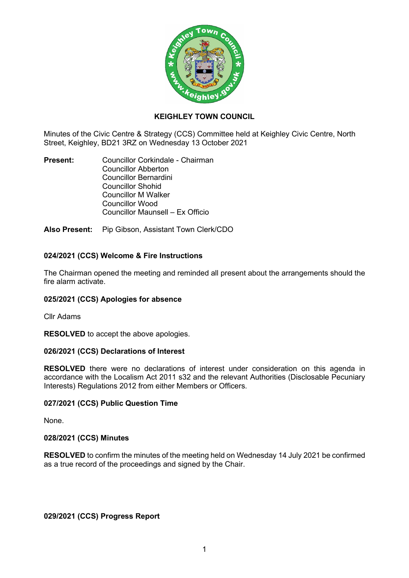

## **KEIGHLEY TOWN COUNCIL**

Minutes of the Civic Centre & Strategy (CCS) Committee held at Keighley Civic Centre, North Street, Keighley, BD21 3RZ on Wednesday 13 October 2021

**Present:** Councillor Corkindale - Chairman Councillor Abberton Councillor Bernardini Councillor Shohid Councillor M Walker Councillor Wood Councillor Maunsell – Ex Officio

**Also Present:** Pip Gibson, Assistant Town Clerk/CDO

# **024/2021 (CCS) Welcome & Fire Instructions**

The Chairman opened the meeting and reminded all present about the arrangements should the fire alarm activate.

## **025/2021 (CCS) Apologies for absence**

Cllr Adams

**RESOLVED** to accept the above apologies.

## **026/2021 (CCS) Declarations of Interest**

**RESOLVED** there were no declarations of interest under consideration on this agenda in accordance with the Localism Act 2011 s32 and the relevant Authorities (Disclosable Pecuniary Interests) Regulations 2012 from either Members or Officers.

## **027/2021 (CCS) Public Question Time**

None.

#### **028/2021 (CCS) Minutes**

**RESOLVED** to confirm the minutes of the meeting held on Wednesday 14 July 2021 be confirmed as a true record of the proceedings and signed by the Chair.

**029/2021 (CCS) Progress Report**